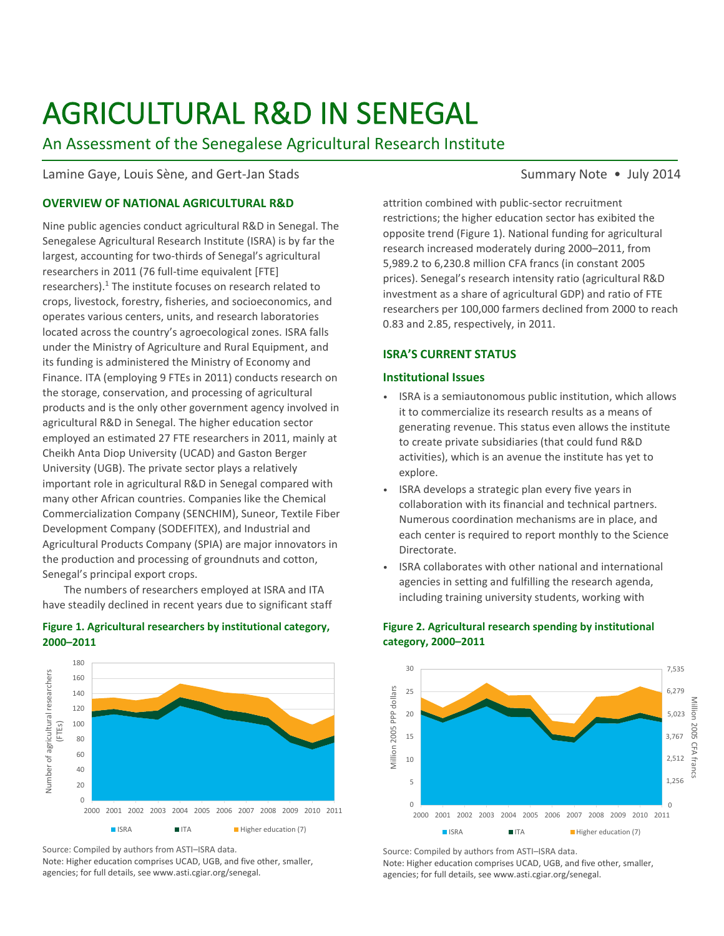# AGRICULTURAL R&D IN SENEGAL

# An Assessment of the Senegalese Agricultural Research Institute

# Lamine Gaye, Louis Sène, and Gert-Jan Stads Summary Note • July 2014

## **OVERVIEW OF NATIONAL AGRICULTURAL R&D**

Nine public agencies conduct agricultural R&D in Senegal. The Senegalese Agricultural Research Institute (ISRA) is by far the largest, accounting for two-thirds of Senegal's agricultural researchers in 2011 (76 full-time equivalent [FTE] researchers).<sup>1</sup> The institute focuses on research related to crops, livestock, forestry, fisheries, and socioeconomics, and operates various centers, units, and research laboratories located across the country's agroecological zones. ISRA falls under the Ministry of Agriculture and Rural Equipment, and its funding is administered the Ministry of Economy and Finance. ITA (employing 9 FTEs in 2011) conducts research on the storage, conservation, and processing of agricultural products and is the only other government agency involved in agricultural R&D in Senegal. The higher education sector employed an estimated 27 FTE researchers in 2011, mainly at Cheikh Anta Diop University (UCAD) and Gaston Berger University (UGB). The private sector plays a relatively important role in agricultural R&D in Senegal compared with many other African countries. Companies like the Chemical Commercialization Company (SENCHIM), Suneor, Textile Fiber Development Company (SODEFITEX), and Industrial and Agricultural Products Company (SPIA) are major innovators in the production and processing of groundnuts and cotton, Senegal's principal export crops.

The numbers of researchers employed at ISRA and ITA have steadily declined in recent years due to significant staff

#### **Figure 1. Agricultural researchers by institutional category, 2000–2011**



Source: Compiled by authors from ASTI–ISRA data.

Note: Higher education comprises UCAD, UGB, and five other, smaller, agencies; for full details, see www.asti.cgiar.org/senegal.

attrition combined with public-sector recruitment restrictions; the higher education sector has exibited the opposite trend (Figure 1). National funding for agricultural research increased moderately during 2000–2011, from 5,989.2 to 6,230.8 million CFA francs (in constant 2005 prices). Senegal's research intensity ratio (agricultural R&D investment as a share of agricultural GDP) and ratio of FTE researchers per 100,000 farmers declined from 2000 to reach 0.83 and 2.85, respectively, in 2011.

# **ISRA'S CURRENT STATUS**

#### **Institutional Issues**

- ISRA is a semiautonomous public institution, which allows it to commercialize its research results as a means of generating revenue. This status even allows the institute to create private subsidiaries (that could fund R&D activities), which is an avenue the institute has yet to explore.
- ISRA develops a strategic plan every five years in collaboration with its financial and technical partners. Numerous coordination mechanisms are in place, and each center is required to report monthly to the Science Directorate.
- ISRA collaborates with other national and international agencies in setting and fulfilling the research agenda, including training university students, working with



# **Figure 2. Agricultural research spending by institutional category, 2000–2011**

Source: Compiled by authors from ASTI–ISRA data. Note: Higher education comprises UCAD, UGB, and five other, smaller, agencies; for full details, see www.asti.cgiar.org/senegal.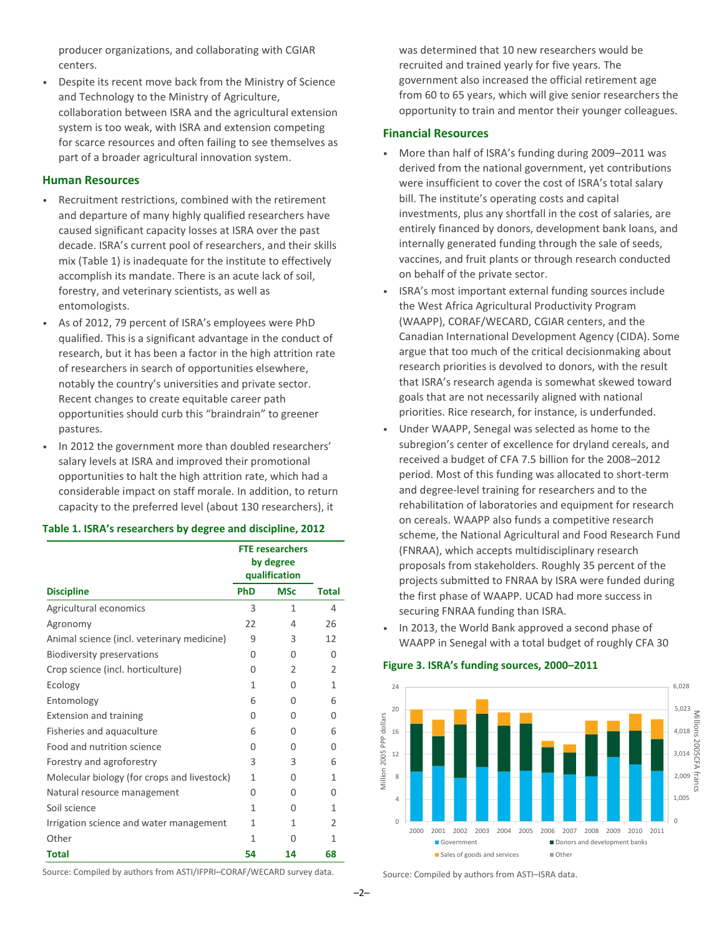producer organizations, and collaborating with CGIAR centers.

• Despite its recent move back from the Ministry of Science and Technology to the Ministry of Agriculture, collaboration between ISRA and the agricultural extension system is too weak, with ISRA and extension competing for scarce resources and often failing to see themselves as part of a broader agricultural innovation system.

#### **Human Resources**

- Recruitment restrictions, combined with the retirement and departure of many highly qualified researchers have caused significant capacity losses at ISRA over the past decade. ISRA's current pool of researchers, and their skills mix (Table 1) is inadequate for the institute to effectively accomplish its mandate. There is an acute lack of soil, forestry, and veterinary scientists, as well as entomologists.
- As of 2012, 79 percent of ISRA's employees were PhD qualified. This is a significant advantage in the conduct of research, but it has been a factor in the high attrition rate of researchers in search of opportunities elsewhere, notably the country's universities and private sector. Recent changes to create equitable career path opportunities should curb this "braindrain" to greener pastures.
- In 2012 the government more than doubled researchers' salary levels at ISRA and improved their promotional opportunities to halt the high attrition rate, which had a considerable impact on staff morale. In addition, to return capacity to the preferred level (about 130 researchers), it

#### **Table 1. ISRA's researchers by degree and discipline, 2012**

|                                             | <b>FTE researchers</b><br>by degree<br>qualification |                |                |
|---------------------------------------------|------------------------------------------------------|----------------|----------------|
| <b>Discipline</b>                           | <b>PhD</b>                                           | <b>MSc</b>     | <b>Total</b>   |
| Agricultural economics                      | 3                                                    | 1              | 4              |
| Agronomy                                    | 22                                                   | 4              | 26             |
| Animal science (incl. veterinary medicine)  | 9                                                    | 3              | 12             |
| Biodiversity preservations                  | $\Omega$                                             | $\Omega$       | O              |
| Crop science (incl. horticulture)           | $\Omega$                                             | $\mathfrak{D}$ | $\mathfrak{D}$ |
| Ecology                                     | 1                                                    | O              | 1              |
| Entomology                                  | 6                                                    | 0              | 6              |
| <b>Extension and training</b>               | $\Omega$                                             | O              | O              |
| Fisheries and aquaculture                   | 6                                                    | $\Omega$       | 6              |
| Food and nutrition science                  | $\Omega$                                             | O              | O              |
| Forestry and agroforestry                   | 3                                                    | 3              | 6              |
| Molecular biology (for crops and livestock) | 1                                                    | U              | 1              |
| Natural resource management                 | $\Omega$                                             | O              | O              |
| Soil science                                | 1                                                    | O              | 1              |
| Irrigation science and water management     | 1                                                    | 1              | $\mathfrak z$  |
| Other                                       | 1                                                    | Ω              | 1              |
| <b>Total</b>                                | 54                                                   | 14             | 68             |

was determined that 10 new researchers would be recruited and trained yearly for five years. The government also increased the official retirement age from 60 to 65 years, which will give senior researchers the opportunity to train and mentor their younger colleagues.

### **Financial Resources**

- More than half of ISRA's funding during 2009–2011 was derived from the national government, yet contributions were insufficient to cover the cost of ISRA's total salary bill. The institute's operating costs and capital investments, plus any shortfall in the cost of salaries, are entirely financed by donors, development bank loans, and internally generated funding through the sale of seeds, vaccines, and fruit plants or through research conducted on behalf of the private sector.
- ISRA's most important external funding sources include the West Africa Agricultural Productivity Program (WAAPP), CORAF/WECARD, CGIAR centers, and the Canadian International Development Agency (CIDA). Some argue that too much of the critical decisionmaking about research priorities is devolved to donors, with the result that ISRA's research agenda is somewhat skewed toward goals that are not necessarily aligned with national priorities. Rice research, for instance, is underfunded.
- Under WAAPP, Senegal was selected as home to the subregion's center of excellence for dryland cereals, and received a budget of CFA 7.5 billion for the 2008–2012 period. Most of this funding was allocated to short-term and degree-level training for researchers and to the rehabilitation of laboratories and equipment for research on cereals. WAAPP also funds a competitive research scheme, the National Agricultural and Food Research Fund (FNRAA), which accepts multidisciplinary research proposals from stakeholders. Roughly 35 percent of the projects submitted to FNRAA by ISRA were funded during the first phase of WAAPP. UCAD had more success in securing FNRAA funding than ISRA.
- In 2013, the World Bank approved a second phase of WAAPP in Senegal with a total budget of roughly CFA 30

#### **Figure 3. ISRA's funding sources, 2000–2011**



Source: Compiled by authors from ASTI/IFPRI–CORAF/WECARD survey data.

Source: Compiled by authors from ASTI–ISRA data.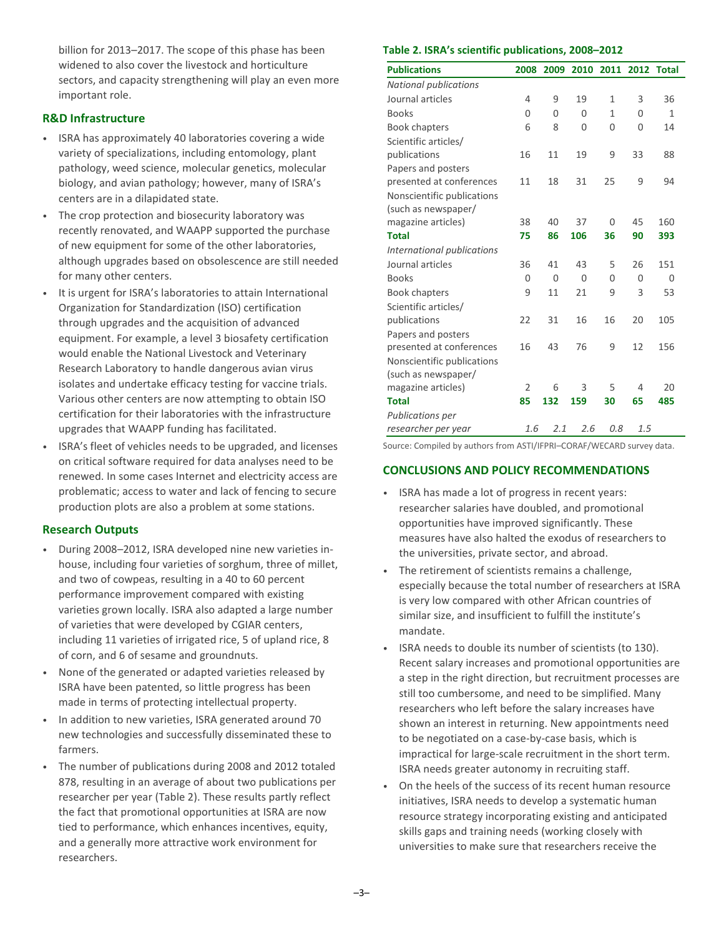billion for 2013–2017. The scope of this phase has been widened to also cover the livestock and horticulture sectors, and capacity strengthening will play an even more important role.

# **R&D Infrastructure**

- ISRA has approximately 40 laboratories covering a wide variety of specializations, including entomology, plant pathology, weed science, molecular genetics, molecular biology, and avian pathology; however, many of ISRA's centers are in a dilapidated state.
- The crop protection and biosecurity laboratory was recently renovated, and WAAPP supported the purchase of new equipment for some of the other laboratories, although upgrades based on obsolescence are still needed for many other centers.
- It is urgent for ISRA's laboratories to attain International Organization for Standardization (ISO) certification through upgrades and the acquisition of advanced equipment. For example, a level 3 biosafety certification would enable the National Livestock and Veterinary Research Laboratory to handle dangerous avian virus isolates and undertake efficacy testing for vaccine trials. Various other centers are now attempting to obtain ISO certification for their laboratories with the infrastructure upgrades that WAAPP funding has facilitated.
- ISRA's fleet of vehicles needs to be upgraded, and licenses on critical software required for data analyses need to be renewed. In some cases Internet and electricity access are problematic; access to water and lack of fencing to secure production plots are also a problem at some stations.

# **Research Outputs**

- During 2008–2012, ISRA developed nine new varieties inhouse, including four varieties of sorghum, three of millet, and two of cowpeas, resulting in a 40 to 60 percent performance improvement compared with existing varieties grown locally. ISRA also adapted a large number of varieties that were developed by CGIAR centers, including 11 varieties of irrigated rice, 5 of upland rice, 8 of corn, and 6 of sesame and groundnuts.
- None of the generated or adapted varieties released by ISRA have been patented, so little progress has been made in terms of protecting intellectual property.
- In addition to new varieties, ISRA generated around 70 new technologies and successfully disseminated these to farmers.
- The number of publications during 2008 and 2012 totaled 878, resulting in an average of about two publications per researcher per year (Table 2). These results partly reflect the fact that promotional opportunities at ISRA are now tied to performance, which enhances incentives, equity, and a generally more attractive work environment for researchers.

#### **Table 2. ISRA's scientific publications, 2008–2012**

| <b>Publications</b>          | 2008     | 2009     | 2010     | 2011         | 2012           | <b>Total</b> |
|------------------------------|----------|----------|----------|--------------|----------------|--------------|
| <b>National publications</b> |          |          |          |              |                |              |
| Journal articles             | 4        | 9        | 19       | $\mathbf{1}$ | 3              | 36           |
| <b>Books</b>                 | 0        | $\Omega$ | $\Omega$ | $\mathbf{1}$ | $\Omega$       | 1            |
| <b>Book chapters</b>         | 6        | 8        | 0        | 0            | $\overline{0}$ | 14           |
| Scientific articles/         |          |          |          |              |                |              |
| publications                 | 16       | 11       | 19       | 9            | 33             | 88           |
| Papers and posters           |          |          |          |              |                |              |
| presented at conferences     | 11       | 18       | 31       | 25           | 9              | 94           |
| Nonscientific publications   |          |          |          |              |                |              |
| (such as newspaper/          |          |          |          |              |                |              |
| magazine articles)           | 38       | 40       | 37       | $\Omega$     | 45             | 160          |
| <b>Total</b>                 | 75       | 86       | 106      | 36           | 90             | 393          |
| International publications   |          |          |          |              |                |              |
| Journal articles             | 36       | 41       | 43       | 5            | 26             | 151          |
| <b>Books</b>                 | $\Omega$ | $\Omega$ | $\Omega$ | $\Omega$     | $\Omega$       | 0            |
| <b>Book chapters</b>         | 9        | 11       | 21       | 9            | 3              | 53           |
| Scientific articles/         |          |          |          |              |                |              |
| publications                 | 22       | 31       | 16       | 16           | 20             | 105          |
| Papers and posters           |          |          |          |              |                |              |
| presented at conferences     | 16       | 43       | 76       | 9            | 12             | 156          |
| Nonscientific publications   |          |          |          |              |                |              |
| (such as newspaper/          |          |          |          |              |                |              |
| magazine articles)           | 2        | 6        | 3        | 5            | 4              | 20           |
| <b>Total</b>                 | 85       | 132      | 159      | 30           | 65             | 485          |
| <b>Publications per</b>      |          |          |          |              |                |              |
| researcher per year          | 1.6      | 2.1      | 2.6      | 0.8          | 1.5            |              |

Source: Compiled by authors from ASTI/IFPRI–CORAF/WECARD survey data.

# **CONCLUSIONS AND POLICY RECOMMENDATIONS**

- ISRA has made a lot of progress in recent years: researcher salaries have doubled, and promotional opportunities have improved significantly. These measures have also halted the exodus of researchers to the universities, private sector, and abroad.
- The retirement of scientists remains a challenge, especially because the total number of researchers at ISRA is very low compared with other African countries of similar size, and insufficient to fulfill the institute's mandate.
- ISRA needs to double its number of scientists (to 130). Recent salary increases and promotional opportunities are a step in the right direction, but recruitment processes are still too cumbersome, and need to be simplified. Many researchers who left before the salary increases have shown an interest in returning. New appointments need to be negotiated on a case-by-case basis, which is impractical for large-scale recruitment in the short term. ISRA needs greater autonomy in recruiting staff.
- On the heels of the success of its recent human resource initiatives, ISRA needs to develop a systematic human resource strategy incorporating existing and anticipated skills gaps and training needs (working closely with universities to make sure that researchers receive the